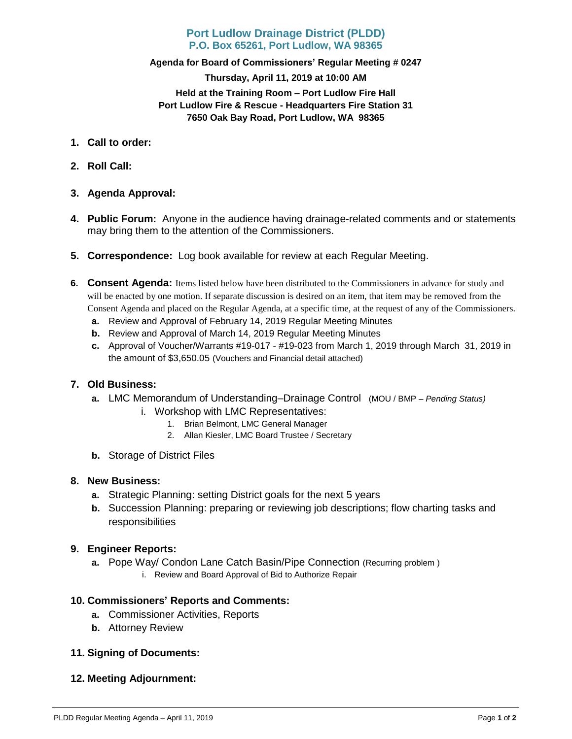## **Port Ludlow Drainage District (PLDD) P.O. Box 65261, Port Ludlow, WA 98365**

### **Agenda for Board of Commissioners' Regular Meeting # 0247**

**Thursday, April 11, 2019 at 10:00 AM Held at the Training Room – Port Ludlow Fire Hall Port Ludlow Fire & Rescue - Headquarters Fire Station 31 7650 Oak Bay Road, Port Ludlow, WA 98365**

- **1. Call to order:**
- **2. Roll Call:**
- **3. Agenda Approval:**
- **4. Public Forum:** Anyone in the audience having drainage-related comments and or statements may bring them to the attention of the Commissioners.
- **5. Correspondence:** Log book available for review at each Regular Meeting.
- **6. Consent Agenda:** Items listed below have been distributed to the Commissioners in advance for study and will be enacted by one motion. If separate discussion is desired on an item, that item may be removed from the Consent Agenda and placed on the Regular Agenda, at a specific time, at the request of any of the Commissioners.
	- **a.** Review and Approval of February 14, 2019 Regular Meeting Minutes
	- **b.** Review and Approval of March 14, 2019 Regular Meeting Minutes
	- **c.** Approval of Voucher/Warrants #19-017 #19-023 from March 1, 2019 through March 31, 2019 in the amount of \$3,650.05 (Vouchers and Financial detail attached)

### **7. Old Business:**

- **a.** LMC Memorandum of Understanding–Drainage Control (MOU / BMP *– Pending Status)*
	- i. Workshop with LMC Representatives:
		- 1. Brian Belmont, LMC General Manager
			- 2. Allan Kiesler, LMC Board Trustee / Secretary
- **b.** Storage of District Files

#### **8. New Business:**

- **a.** Strategic Planning: setting District goals for the next 5 years
- **b.** Succession Planning: preparing or reviewing job descriptions; flow charting tasks and responsibilities

### **9. Engineer Reports:**

- **a.** Pope Way/ Condon Lane Catch Basin/Pipe Connection (Recurring problem )
	- i. Review and Board Approval of Bid to Authorize Repair

### **10. Commissioners' Reports and Comments:**

- **a.** Commissioner Activities, Reports
- **b.** Attorney Review

### **11. Signing of Documents:**

**12. Meeting Adjournment:**